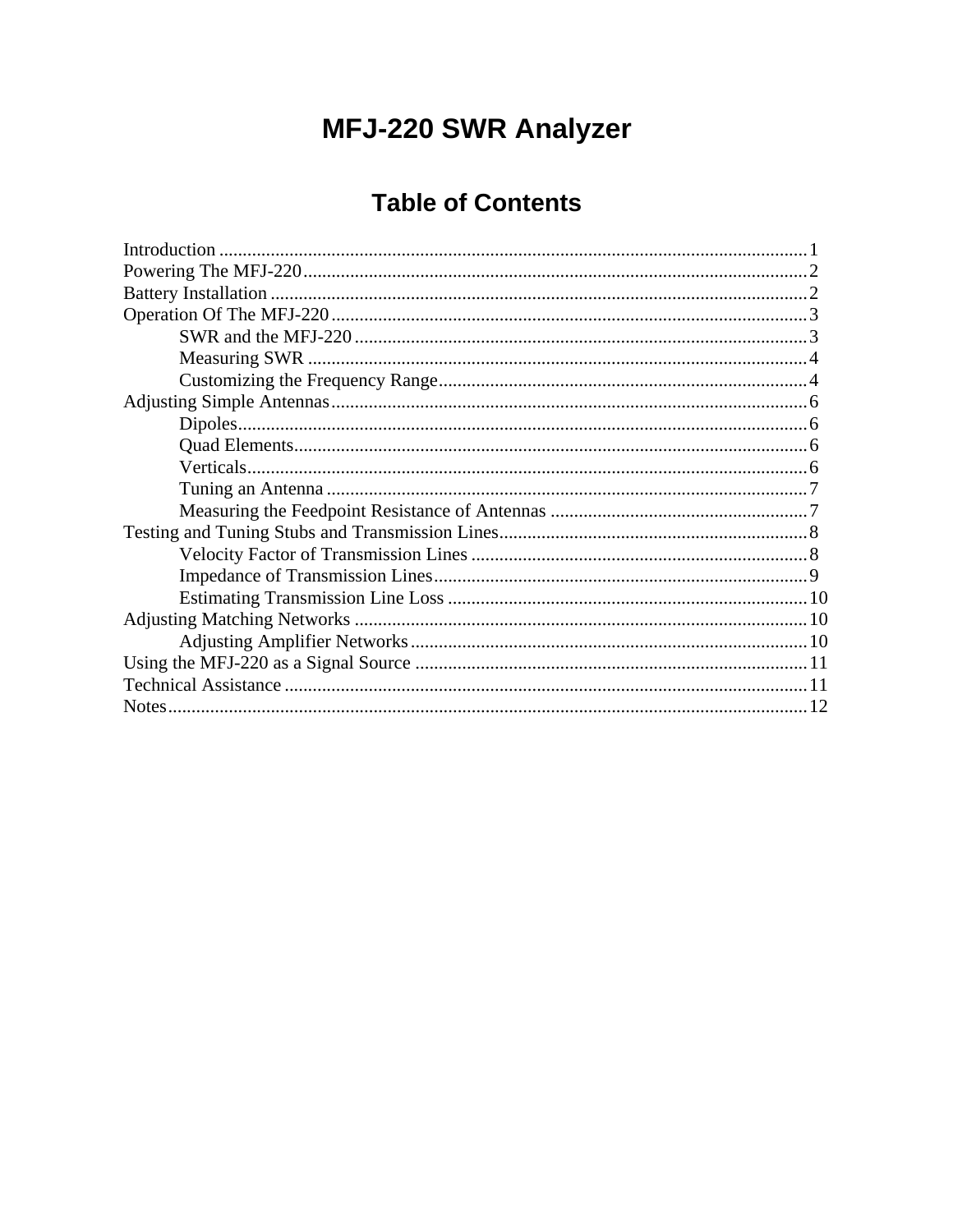# **MFJ-220 SWR Analyzer**

# **Table of Contents**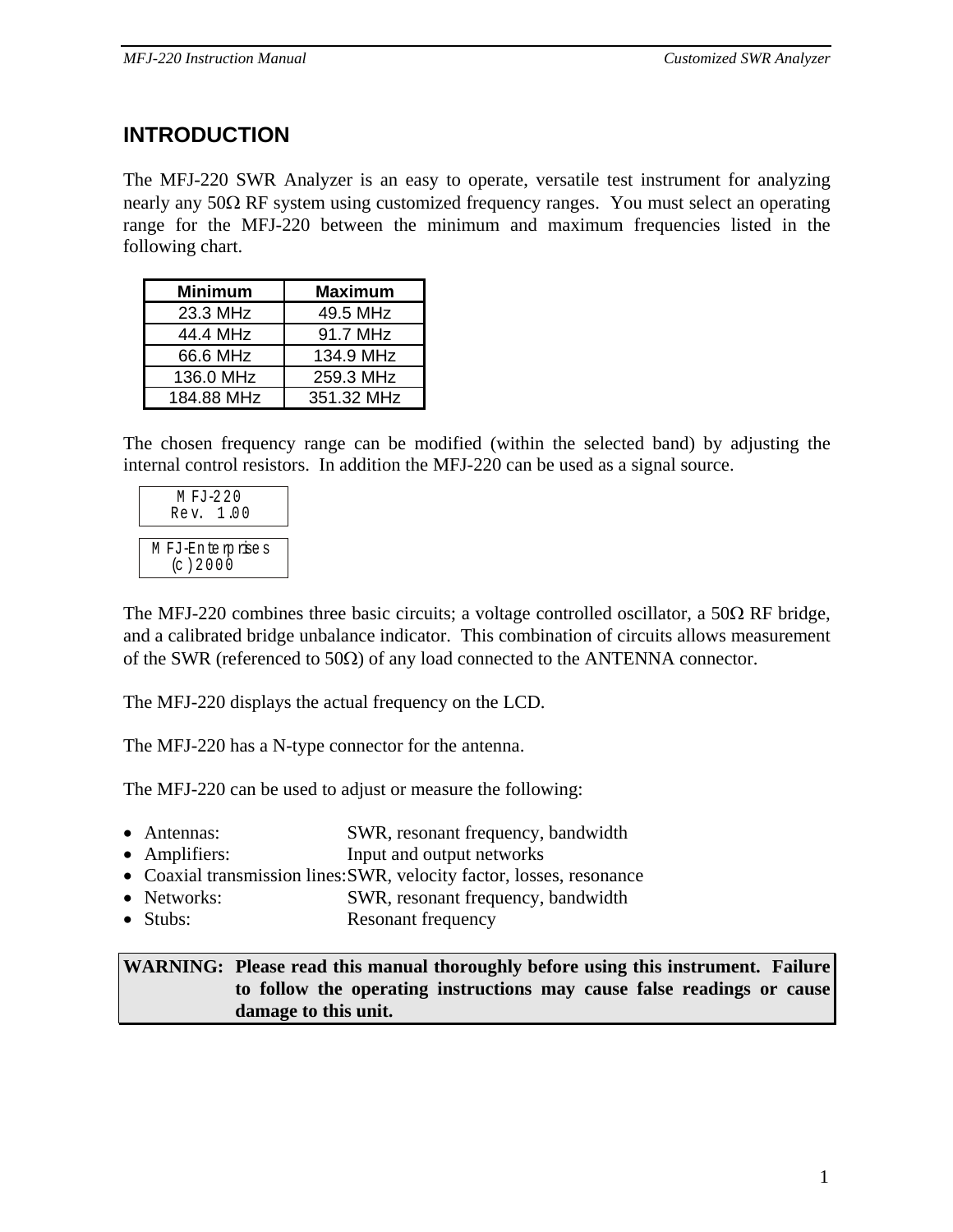## **INTRODUCTION**

The MFJ-220 SWR Analyzer is an easy to operate, versatile test instrument for analyzing nearly any 50Ω RF system using customized frequency ranges. You must select an operating range for the MFJ-220 between the minimum and maximum frequencies listed in the following chart.

| <b>Minimum</b> | <b>Maximum</b> |
|----------------|----------------|
| 23.3 MHz       | 49.5 MHz       |
| 44.4 MHz       | 91.7 MHz       |
| 66.6 MHz       | 134.9 MHz      |
| 136.0 MHz      | 259.3 MHz      |
| 184.88 MHz     | 351.32 MHz     |

The chosen frequency range can be modified (within the selected band) by adjusting the internal control resistors. In addition the MFJ-220 can be used as a signal source.

| M FJ-220<br>Rev. 1.00       |  |  |
|-----------------------------|--|--|
|                             |  |  |
| MFJ-Enterprises<br>(c) 2000 |  |  |
|                             |  |  |

The MFJ-220 combines three basic circuits; a voltage controlled oscillator, a 50 $\Omega$  RF bridge, and a calibrated bridge unbalance indicator. This combination of circuits allows measurement of the SWR (referenced to 50Ω) of any load connected to the ANTENNA connector.

The MFJ-220 displays the actual frequency on the LCD.

The MFJ-220 has a N-type connector for the antenna.

The MFJ-220 can be used to adjust or measure the following:

- Antennas: SWR, resonant frequency, bandwidth
- Amplifiers: Input and output networks
- Coaxial transmission lines:SWR, velocity factor, losses, resonance
- Networks: SWR, resonant frequency, bandwidth
- Stubs: Resonant frequency

**WARNING: Please read this manual thoroughly before using this instrument. Failure to follow the operating instructions may cause false readings or cause damage to this unit.**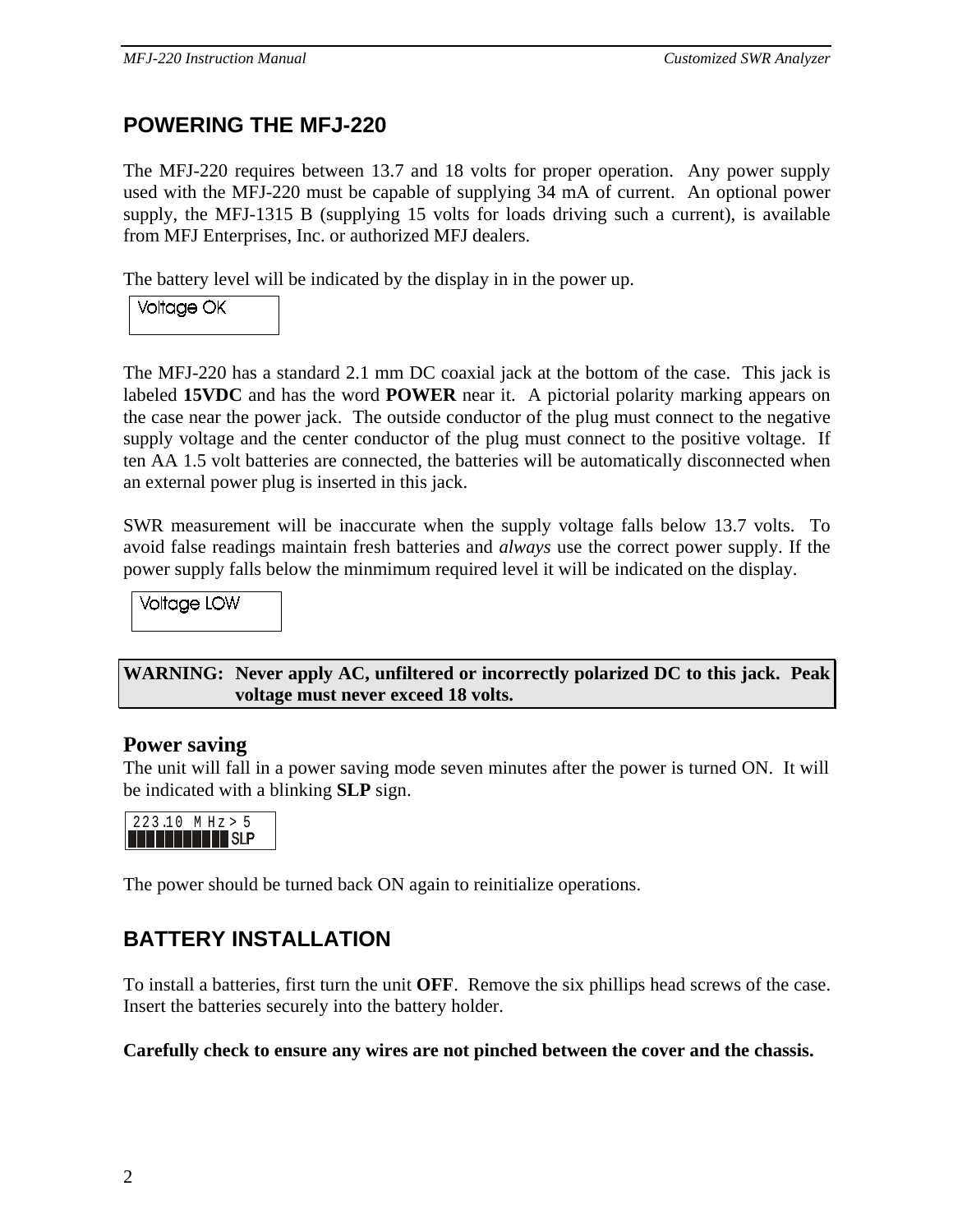## **POWERING THE MFJ-220**

The MFJ-220 requires between 13.7 and 18 volts for proper operation. Any power supply used with the MFJ-220 must be capable of supplying 34 mA of current. An optional power supply, the MFJ-1315 B (supplying 15 volts for loads driving such a current), is available from MFJ Enterprises, Inc. or authorized MFJ dealers.

The battery level will be indicated by the display in in the power up.

**Voltage OK** 

The MFJ-220 has a standard 2.1 mm DC coaxial jack at the bottom of the case. This jack is labeled **15VDC** and has the word **POWER** near it. A pictorial polarity marking appears on the case near the power jack. The outside conductor of the plug must connect to the negative supply voltage and the center conductor of the plug must connect to the positive voltage. If ten AA 1.5 volt batteries are connected, the batteries will be automatically disconnected when an external power plug is inserted in this jack.

SWR measurement will be inaccurate when the supply voltage falls below 13.7 volts. To avoid false readings maintain fresh batteries and *always* use the correct power supply. If the power supply falls below the minmimum required level it will be indicated on the display.

**Voltage LOW** 

**WARNING: Never apply AC, unfiltered or incorrectly polarized DC to this jack. Peak voltage must never exceed 18 volts.**

#### **Power saving**

The unit will fall in a power saving mode seven minutes after the power is turned ON. It will be indicated with a blinking **SLP** sign.



The power should be turned back ON again to reinitialize operations.

## **BATTERY INSTALLATION**

To install a batteries, first turn the unit **OFF**. Remove the six phillips head screws of the case. Insert the batteries securely into the battery holder.

**Carefully check to ensure any wires are not pinched between the cover and the chassis.**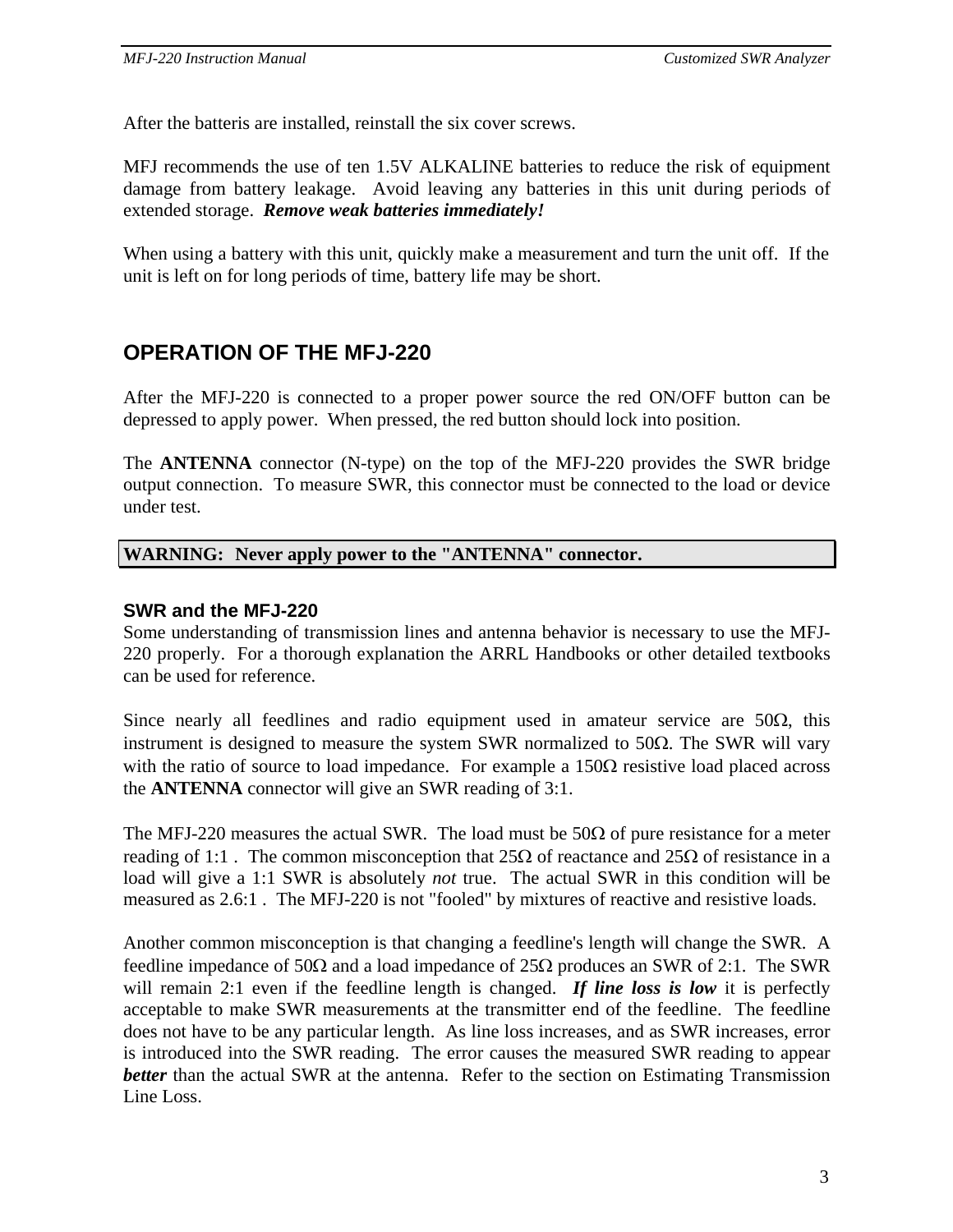After the batteris are installed, reinstall the six cover screws.

MFJ recommends the use of ten 1.5V ALKALINE batteries to reduce the risk of equipment damage from battery leakage. Avoid leaving any batteries in this unit during periods of extended storage. *Remove weak batteries immediately!*

When using a battery with this unit, quickly make a measurement and turn the unit off. If the unit is left on for long periods of time, battery life may be short.

## **OPERATION OF THE MFJ-220**

After the MFJ-220 is connected to a proper power source the red ON/OFF button can be depressed to apply power. When pressed, the red button should lock into position.

The **ANTENNA** connector (N-type) on the top of the MFJ-220 provides the SWR bridge output connection. To measure SWR, this connector must be connected to the load or device under test.

#### **WARNING: Never apply power to the "ANTENNA" connector.**

#### **SWR and the MFJ-220**

Some understanding of transmission lines and antenna behavior is necessary to use the MFJ-220 properly. For a thorough explanation the ARRL Handbooks or other detailed textbooks can be used for reference.

Since nearly all feedlines and radio equipment used in amateur service are  $50\Omega$ , this instrument is designed to measure the system SWR normalized to 50 $\Omega$ . The SWR will vary with the ratio of source to load impedance. For example a  $150\Omega$  resistive load placed across the **ANTENNA** connector will give an SWR reading of 3:1.

The MFJ-220 measures the actual SWR. The load must be  $50\Omega$  of pure resistance for a meter reading of 1:1. The common misconception that  $25\Omega$  of reactance and  $25\Omega$  of resistance in a load will give a 1:1 SWR is absolutely *not* true. The actual SWR in this condition will be measured as 2.6:1 . The MFJ-220 is not "fooled" by mixtures of reactive and resistive loads.

Another common misconception is that changing a feedline's length will change the SWR. A feedline impedance of 50Ω and a load impedance of 25Ω produces an SWR of 2:1. The SWR will remain 2:1 even if the feedline length is changed. **If line loss is low** it is perfectly acceptable to make SWR measurements at the transmitter end of the feedline. The feedline does not have to be any particular length. As line loss increases, and as SWR increases, error is introduced into the SWR reading. The error causes the measured SWR reading to appear *better* than the actual SWR at the antenna. Refer to the section on Estimating Transmission Line Loss.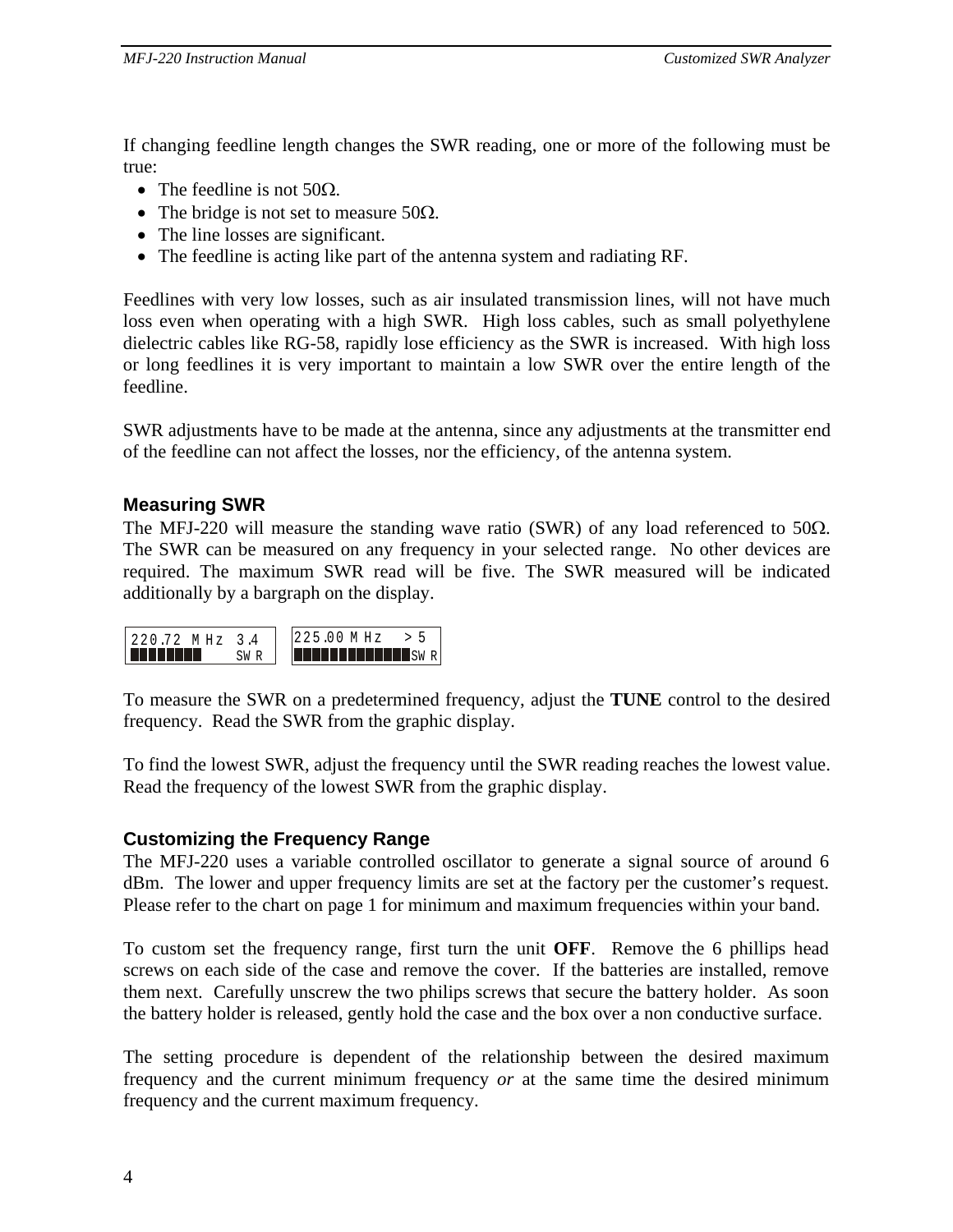If changing feedline length changes the SWR reading, one or more of the following must be true:

- The feedline is not  $50\Omega$ .
- The bridge is not set to measure  $50\Omega$ .
- The line losses are significant.
- The feedline is acting like part of the antenna system and radiating RF.

Feedlines with very low losses, such as air insulated transmission lines, will not have much loss even when operating with a high SWR. High loss cables, such as small polyethylene dielectric cables like RG-58, rapidly lose efficiency as the SWR is increased. With high loss or long feedlines it is very important to maintain a low SWR over the entire length of the feedline.

SWR adjustments have to be made at the antenna, since any adjustments at the transmitter end of the feedline can not affect the losses, nor the efficiency, of the antenna system.

#### **Measuring SWR**

The MFJ-220 will measure the standing wave ratio (SWR) of any load referenced to  $50\Omega$ . The SWR can be measured on any frequency in your selected range. No other devices are required. The maximum SWR read will be five. The SWR measured will be indicated additionally by a bargraph on the display.



To measure the SWR on a predetermined frequency, adjust the **TUNE** control to the desired frequency. Read the SWR from the graphic display.

To find the lowest SWR, adjust the frequency until the SWR reading reaches the lowest value. Read the frequency of the lowest SWR from the graphic display.

#### **Customizing the Frequency Range**

The MFJ-220 uses a variable controlled oscillator to generate a signal source of around 6 dBm. The lower and upper frequency limits are set at the factory per the customer's request. Please refer to the chart on page 1 for minimum and maximum frequencies within your band.

To custom set the frequency range, first turn the unit **OFF**. Remove the 6 phillips head screws on each side of the case and remove the cover. If the batteries are installed, remove them next. Carefully unscrew the two philips screws that secure the battery holder. As soon the battery holder is released, gently hold the case and the box over a non conductive surface.

The setting procedure is dependent of the relationship between the desired maximum frequency and the current minimum frequency *or* at the same time the desired minimum frequency and the current maximum frequency.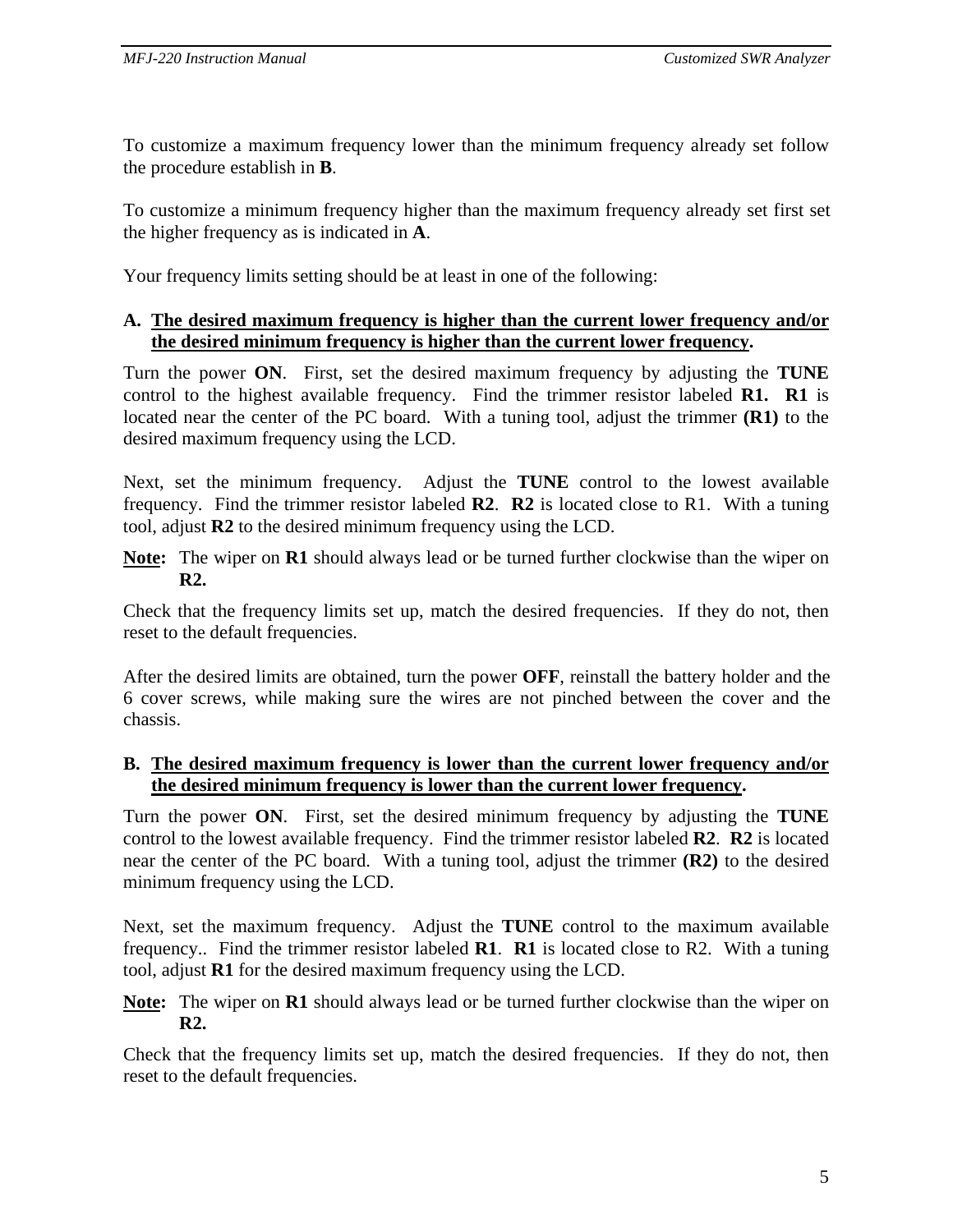To customize a maximum frequency lower than the minimum frequency already set follow the procedure establish in **B**.

To customize a minimum frequency higher than the maximum frequency already set first set the higher frequency as is indicated in **A**.

Your frequency limits setting should be at least in one of the following:

#### **A. The desired maximum frequency is higher than the current lower frequency and/or the desired minimum frequency is higher than the current lower frequency.**

Turn the power **ON**. First, set the desired maximum frequency by adjusting the **TUNE** control to the highest available frequency. Find the trimmer resistor labeled **R1. R1** is located near the center of the PC board. With a tuning tool, adjust the trimmer **(R1)** to the desired maximum frequency using the LCD.

Next, set the minimum frequency. Adjust the **TUNE** control to the lowest available frequency.Find the trimmer resistor labeled **R2**. **R2** is located close to R1. With a tuning tool, adjust **R2** to the desired minimum frequency using the LCD.

**Note:** The wiper on **R1** should always lead or be turned further clockwise than the wiper on **R2.**

Check that the frequency limits set up, match the desired frequencies. If they do not, then reset to the default frequencies.

After the desired limits are obtained, turn the power **OFF**, reinstall the battery holder and the 6 cover screws, while making sure the wires are not pinched between the cover and the chassis.

#### **B. The desired maximum frequency is lower than the current lower frequency and/or the desired minimum frequency is lower than the current lower frequency.**

Turn the power **ON**. First, set the desired minimum frequency by adjusting the **TUNE** control to the lowest available frequency. Find the trimmer resistor labeled **R2**. **R2** is located near the center of the PC board. With a tuning tool, adjust the trimmer **(R2)** to the desired minimum frequency using the LCD.

Next, set the maximum frequency. Adjust the **TUNE** control to the maximum available frequency..Find the trimmer resistor labeled **R1**. **R1** is located close to R2. With a tuning tool, adjust **R1** for the desired maximum frequency using the LCD.

**Note:** The wiper on **R1** should always lead or be turned further clockwise than the wiper on **R2.**

Check that the frequency limits set up, match the desired frequencies. If they do not, then reset to the default frequencies.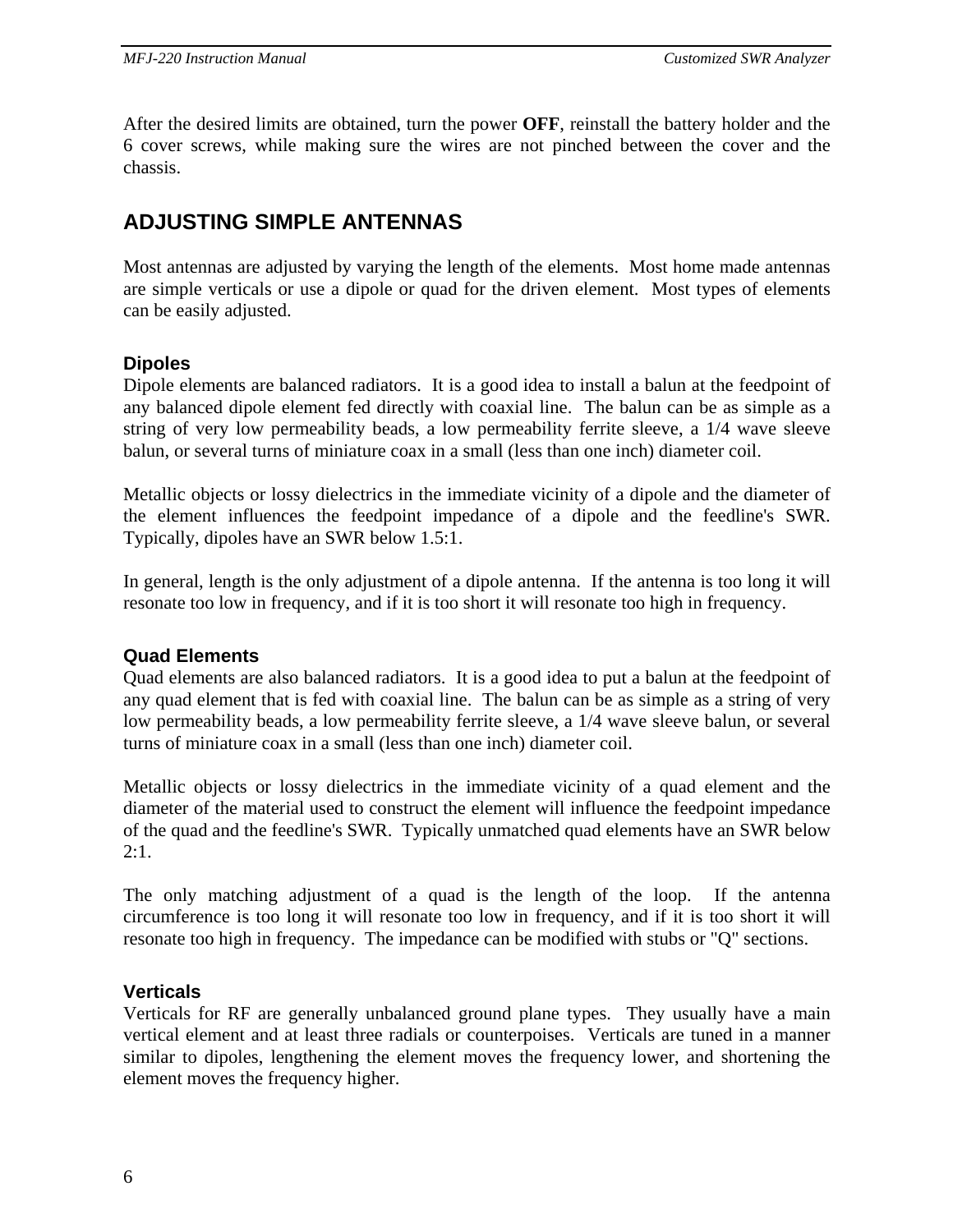After the desired limits are obtained, turn the power **OFF**, reinstall the battery holder and the 6 cover screws, while making sure the wires are not pinched between the cover and the chassis.

## **ADJUSTING SIMPLE ANTENNAS**

Most antennas are adjusted by varying the length of the elements. Most home made antennas are simple verticals or use a dipole or quad for the driven element. Most types of elements can be easily adjusted.

#### **Dipoles**

Dipole elements are balanced radiators. It is a good idea to install a balun at the feedpoint of any balanced dipole element fed directly with coaxial line. The balun can be as simple as a string of very low permeability beads, a low permeability ferrite sleeve, a 1/4 wave sleeve balun, or several turns of miniature coax in a small (less than one inch) diameter coil.

Metallic objects or lossy dielectrics in the immediate vicinity of a dipole and the diameter of the element influences the feedpoint impedance of a dipole and the feedline's SWR. Typically, dipoles have an SWR below 1.5:1.

In general, length is the only adjustment of a dipole antenna. If the antenna is too long it will resonate too low in frequency, and if it is too short it will resonate too high in frequency.

#### **Quad Elements**

Quad elements are also balanced radiators. It is a good idea to put a balun at the feedpoint of any quad element that is fed with coaxial line. The balun can be as simple as a string of very low permeability beads, a low permeability ferrite sleeve, a 1/4 wave sleeve balun, or several turns of miniature coax in a small (less than one inch) diameter coil.

Metallic objects or lossy dielectrics in the immediate vicinity of a quad element and the diameter of the material used to construct the element will influence the feedpoint impedance of the quad and the feedline's SWR. Typically unmatched quad elements have an SWR below 2:1.

The only matching adjustment of a quad is the length of the loop. If the antenna circumference is too long it will resonate too low in frequency, and if it is too short it will resonate too high in frequency. The impedance can be modified with stubs or "Q" sections.

#### **Verticals**

Verticals for RF are generally unbalanced ground plane types. They usually have a main vertical element and at least three radials or counterpoises. Verticals are tuned in a manner similar to dipoles, lengthening the element moves the frequency lower, and shortening the element moves the frequency higher.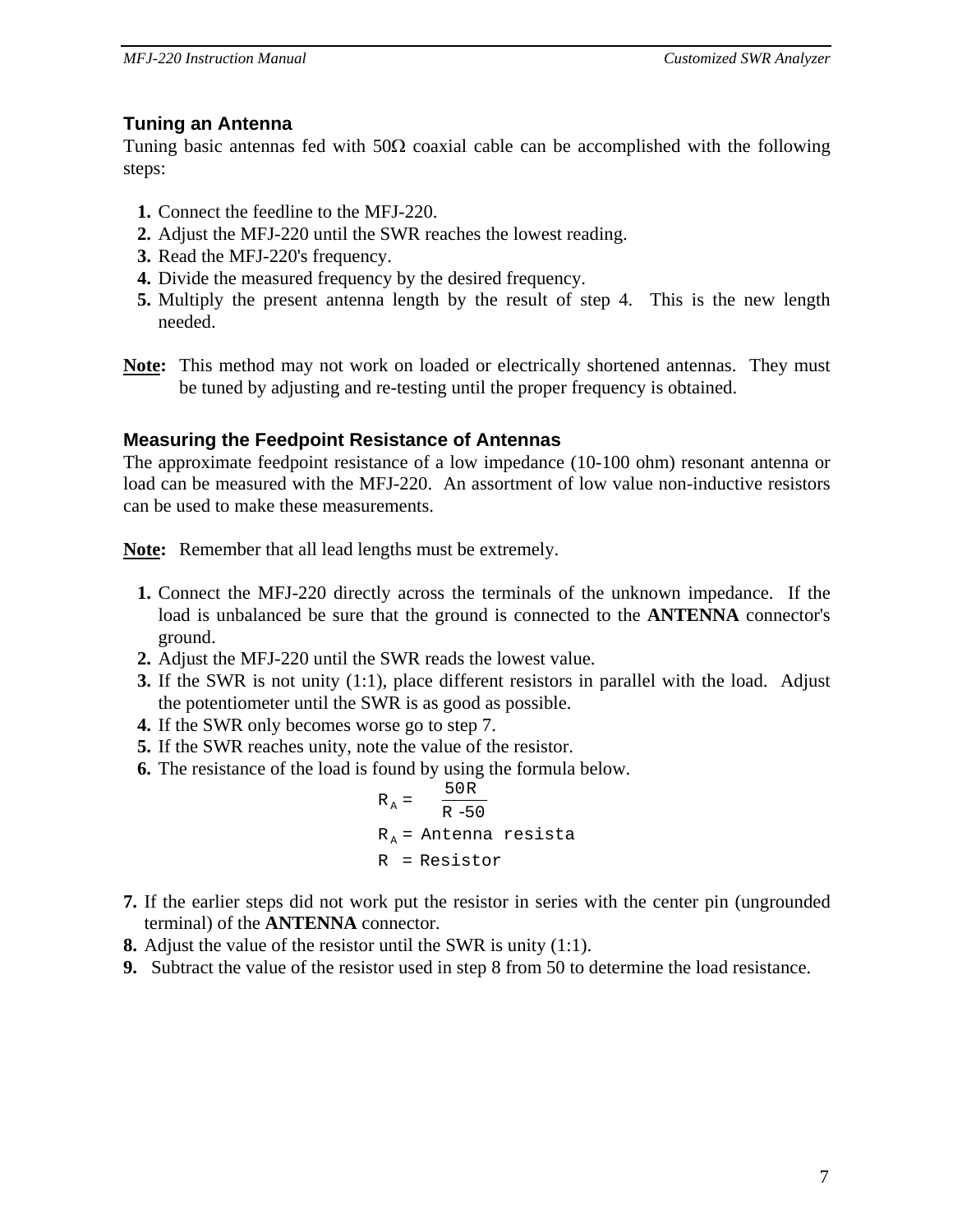#### **Tuning an Antenna**

Tuning basic antennas fed with  $50\Omega$  coaxial cable can be accomplished with the following steps:

- **1.** Connect the feedline to the MFJ-220.
- **2.** Adjust the MFJ-220 until the SWR reaches the lowest reading.
- **3.** Read the MFJ-220's frequency.
- **4.** Divide the measured frequency by the desired frequency.
- **5.** Multiply the present antenna length by the result of step 4. This is the new length needed.
- **Note:** This method may not work on loaded or electrically shortened antennas. They must be tuned by adjusting and re-testing until the proper frequency is obtained.

#### **Measuring the Feedpoint Resistance of Antennas**

The approximate feedpoint resistance of a low impedance (10-100 ohm) resonant antenna or load can be measured with the MFJ-220. An assortment of low value non-inductive resistors can be used to make these measurements.

**Note:** Remember that all lead lengths must be extremely.

- **1.** Connect the MFJ-220 directly across the terminals of the unknown impedance. If the load is unbalanced be sure that the ground is connected to the **ANTENNA** connector's ground.
- **2.** Adjust the MFJ-220 until the SWR reads the lowest value.
- **3.** If the SWR is not unity (1:1), place different resistors in parallel with the load. Adjust the potentiometer until the SWR is as good as possible.
- **4.** If the SWR only becomes worse go to step 7.
- **5.** If the SWR reaches unity, note the value of the resistor.
- **6.** The resistance of the load is found by using the formula below.

$$
R_A = \frac{50R}{R - 50}
$$
  
R<sub>A</sub> = Antenna resista  
R = Resistor

- **7.** If the earlier steps did not work put the resistor in series with the center pin (ungrounded terminal) of the **ANTENNA** connector.
- **8.** Adjust the value of the resistor until the SWR is unity (1:1).
- **9.** Subtract the value of the resistor used in step 8 from 50 to determine the load resistance.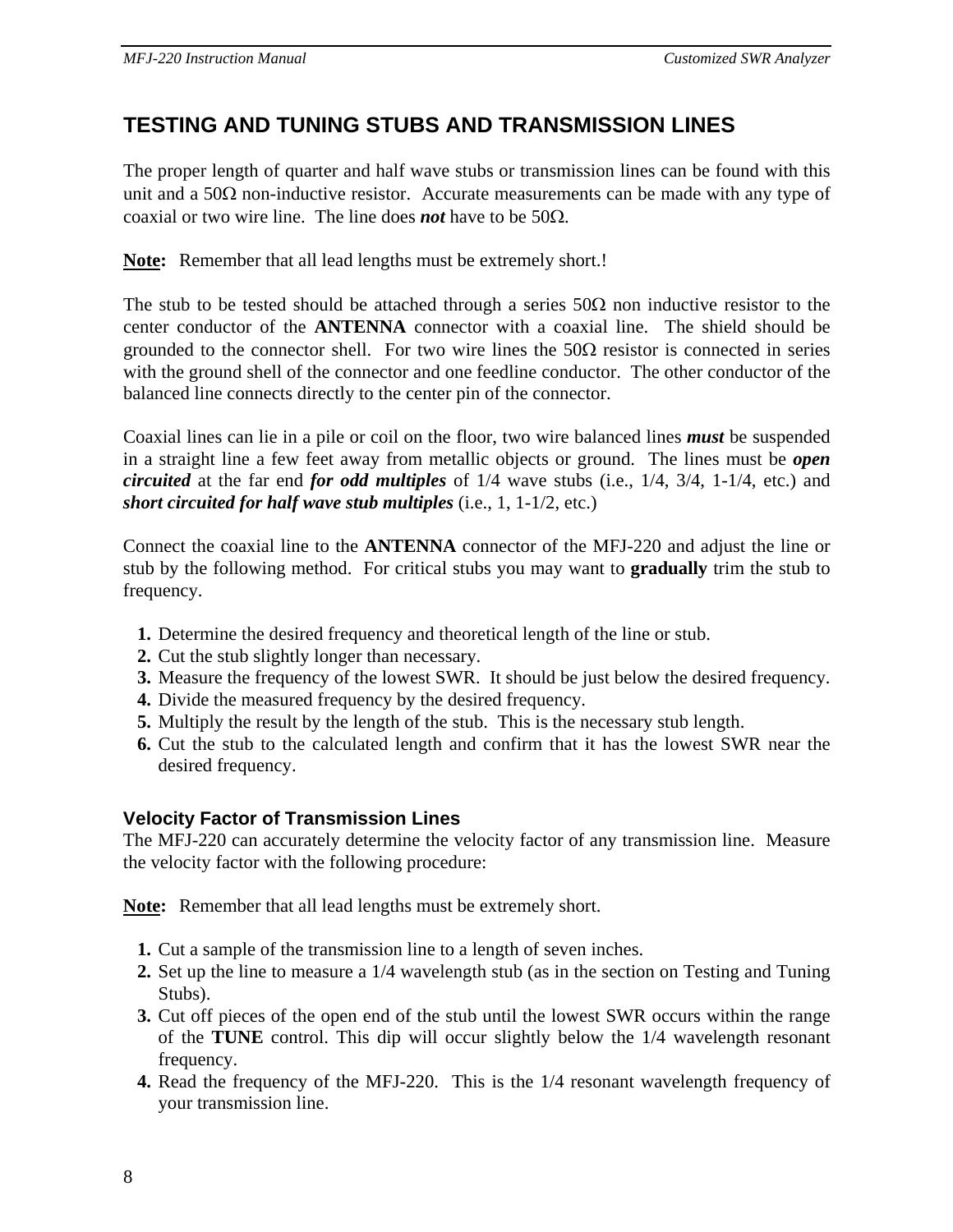## **TESTING AND TUNING STUBS AND TRANSMISSION LINES**

The proper length of quarter and half wave stubs or transmission lines can be found with this unit and a  $50\Omega$  non-inductive resistor. Accurate measurements can be made with any type of coaxial or two wire line. The line does *not* have to be 50Ω.

**Note:** Remember that all lead lengths must be extremely short.!

The stub to be tested should be attached through a series  $50\Omega$  non inductive resistor to the center conductor of the **ANTENNA** connector with a coaxial line. The shield should be grounded to the connector shell. For two wire lines the  $50\Omega$  resistor is connected in series with the ground shell of the connector and one feedline conductor. The other conductor of the balanced line connects directly to the center pin of the connector.

Coaxial lines can lie in a pile or coil on the floor, two wire balanced lines *must* be suspended in a straight line a few feet away from metallic objects or ground. The lines must be *open circuited* at the far end *for odd multiples* of 1/4 wave stubs (i.e., 1/4, 3/4, 1-1/4, etc.) and *short circuited for half wave stub multiples* (i.e., 1, 1-1/2, etc.)

Connect the coaxial line to the **ANTENNA** connector of the MFJ-220 and adjust the line or stub by the following method. For critical stubs you may want to **gradually** trim the stub to frequency.

- **1.** Determine the desired frequency and theoretical length of the line or stub.
- **2.** Cut the stub slightly longer than necessary.
- **3.** Measure the frequency of the lowest SWR. It should be just below the desired frequency.
- **4.** Divide the measured frequency by the desired frequency.
- **5.** Multiply the result by the length of the stub. This is the necessary stub length.
- **6.** Cut the stub to the calculated length and confirm that it has the lowest SWR near the desired frequency.

#### **Velocity Factor of Transmission Lines**

The MFJ-220 can accurately determine the velocity factor of any transmission line. Measure the velocity factor with the following procedure:

**Note:** Remember that all lead lengths must be extremely short.

- **1.** Cut a sample of the transmission line to a length of seven inches.
- **2.** Set up the line to measure a 1/4 wavelength stub (as in the section on Testing and Tuning Stubs).
- **3.** Cut off pieces of the open end of the stub until the lowest SWR occurs within the range of the **TUNE** control. This dip will occur slightly below the 1/4 wavelength resonant frequency.
- **4.** Read the frequency of the MFJ-220. This is the 1/4 resonant wavelength frequency of your transmission line.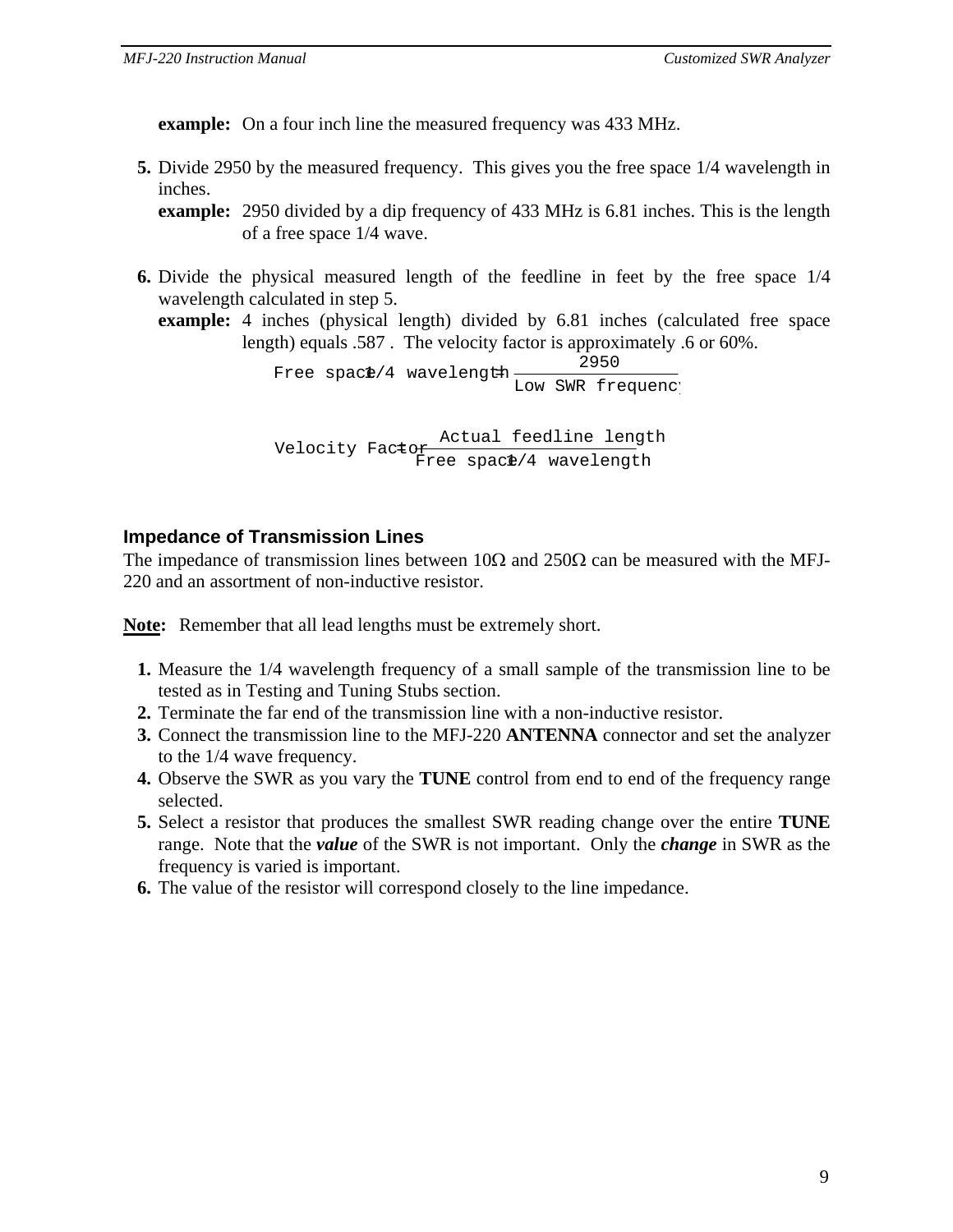**example:** On a four inch line the measured frequency was 433 MHz.

**5.** Divide 2950 by the measured frequency. This gives you the free space 1/4 wavelength in inches.

**example:** 2950 divided by a dip frequency of 433 MHz is 6.81 inches. This is the length of a free space 1/4 wave.

**6.** Divide the physical measured length of the feedline in feet by the free space 1/4 wavelength calculated in step 5.

**example:** 4 inches (physical length) divided by 6.81 inches (calculated free space length) equals .587 . The velocity factor is approximately .6 or 60%.

> Free space/4 wavelength  $\frac{2550}{\text{Low SW}}$ 2950

Nelocity Factor extual feedline length<br>Actual feedline length Free space/4 wavelength

### **Impedance of Transmission Lines**

The impedance of transmission lines between  $10\Omega$  and  $250\Omega$  can be measured with the MFJ-220 and an assortment of non-inductive resistor.

**Note:** Remember that all lead lengths must be extremely short.

- **1.** Measure the 1/4 wavelength frequency of a small sample of the transmission line to be tested as in Testing and Tuning Stubs section.
- **2.** Terminate the far end of the transmission line with a non-inductive resistor.
- **3.** Connect the transmission line to the MFJ-220 **ANTENNA** connector and set the analyzer to the 1/4 wave frequency.
- **4.** Observe the SWR as you vary the **TUNE** control from end to end of the frequency range selected.
- **5.** Select a resistor that produces the smallest SWR reading change over the entire **TUNE** range. Note that the *value* of the SWR is not important. Only the *change* in SWR as the frequency is varied is important.
- **6.** The value of the resistor will correspond closely to the line impedance.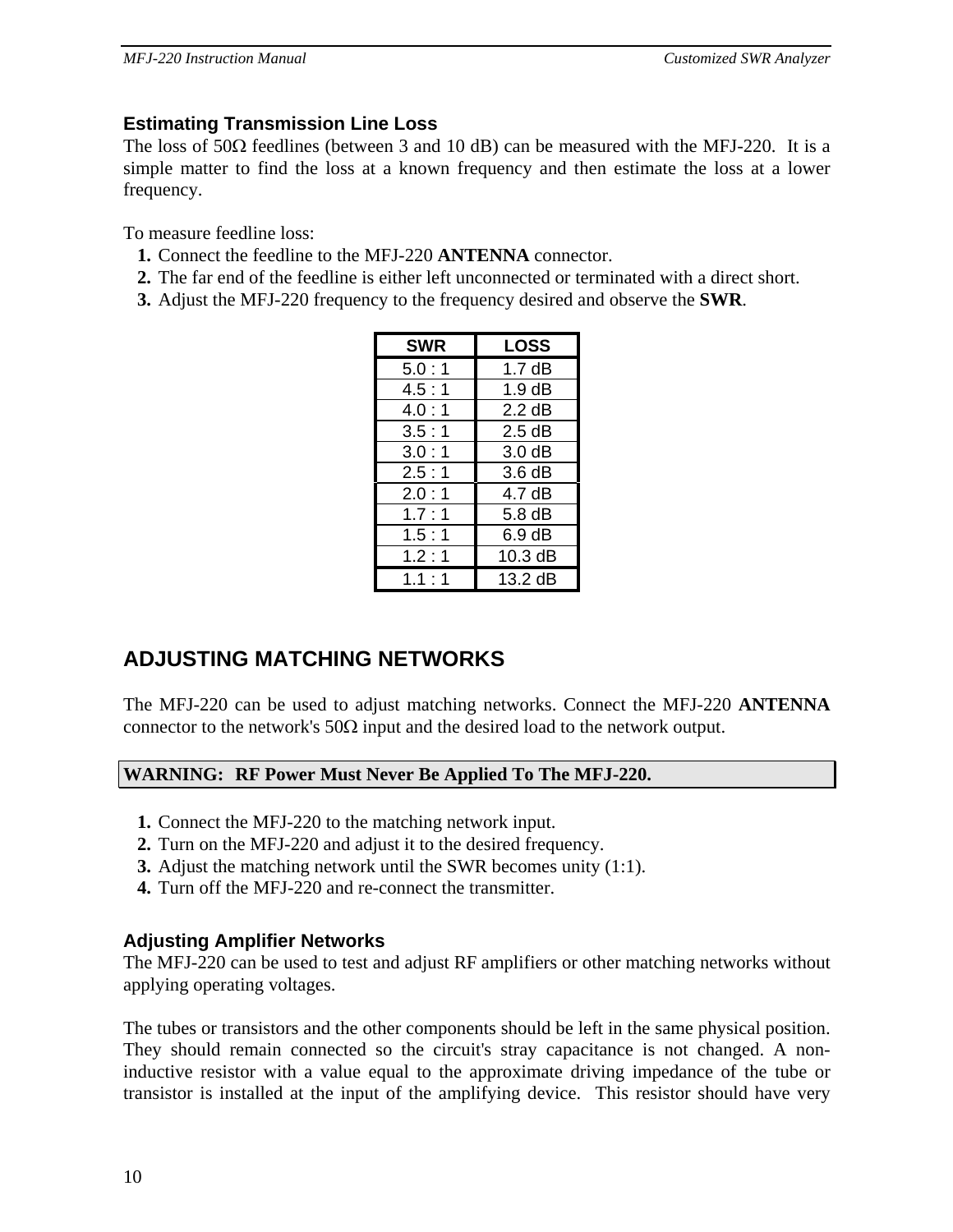#### **Estimating Transmission Line Loss**

The loss of  $50\Omega$  feedlines (between 3 and 10 dB) can be measured with the MFJ-220. It is a simple matter to find the loss at a known frequency and then estimate the loss at a lower frequency.

To measure feedline loss:

- **1.** Connect the feedline to the MFJ-220 **ANTENNA** connector.
- **2.** The far end of the feedline is either left unconnected or terminated with a direct short.
- **3.** Adjust the MFJ-220 frequency to the frequency desired and observe the **SWR**.

| <b>SWR</b> | <b>LOSS</b>        |
|------------|--------------------|
| 5.0:1      | 1.7 dB             |
| 4.5:1      | $1.9 \text{ dB}$   |
| 4.0:1      | $2.2 \text{ dB}$   |
| 3.5:1      | 2.5dB              |
| 3.0:1      | 3.0 <sub>d</sub> B |
| 2.5:1      | 3.6dB              |
| 2.0:1      | 4.7 dB             |
| 1.7:1      | $5.8\,\mathrm{dB}$ |
| 1.5:1      | 6.9 dB             |
| 1.2:1      | 10.3 dB            |
| 1.1:1      | 13.2 dB            |

## **ADJUSTING MATCHING NETWORKS**

The MFJ-220 can be used to adjust matching networks. Connect the MFJ-220 **ANTENNA** connector to the network's  $50\Omega$  input and the desired load to the network output.

#### **WARNING: RF Power Must Never Be Applied To The MFJ-220.**

- **1.** Connect the MFJ-220 to the matching network input.
- **2.** Turn on the MFJ-220 and adjust it to the desired frequency.
- **3.** Adjust the matching network until the SWR becomes unity (1:1).
- **4.** Turn off the MFJ-220 and re-connect the transmitter.

#### **Adjusting Amplifier Networks**

The MFJ-220 can be used to test and adjust RF amplifiers or other matching networks without applying operating voltages.

The tubes or transistors and the other components should be left in the same physical position. They should remain connected so the circuit's stray capacitance is not changed. A noninductive resistor with a value equal to the approximate driving impedance of the tube or transistor is installed at the input of the amplifying device. This resistor should have very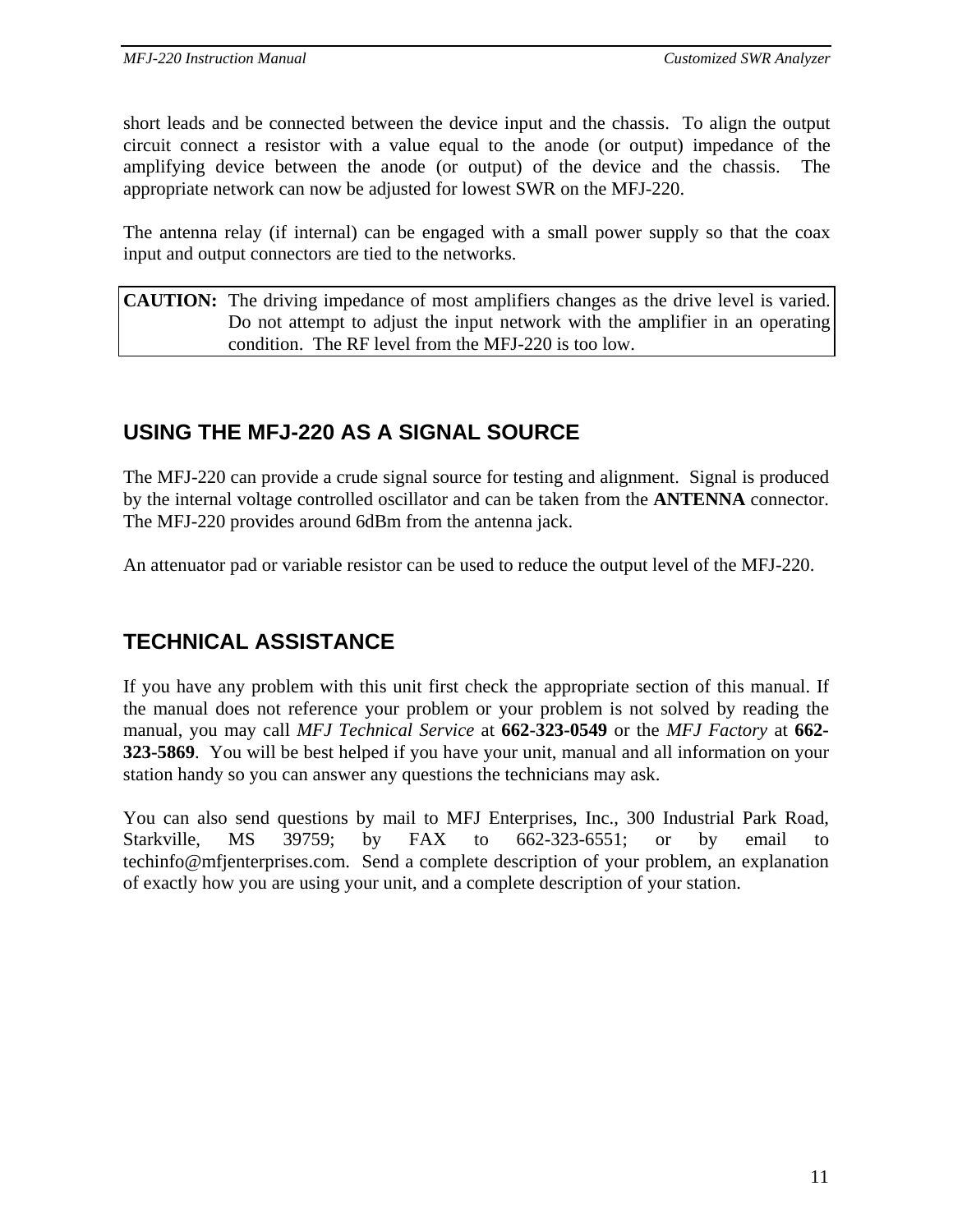short leads and be connected between the device input and the chassis. To align the output circuit connect a resistor with a value equal to the anode (or output) impedance of the amplifying device between the anode (or output) of the device and the chassis. The appropriate network can now be adjusted for lowest SWR on the MFJ-220.

The antenna relay (if internal) can be engaged with a small power supply so that the coax input and output connectors are tied to the networks.

**CAUTION:** The driving impedance of most amplifiers changes as the drive level is varied. Do not attempt to adjust the input network with the amplifier in an operating condition. The RF level from the MFJ-220 is too low.

## **USING THE MFJ-220 AS A SIGNAL SOURCE**

The MFJ-220 can provide a crude signal source for testing and alignment. Signal is produced by the internal voltage controlled oscillator and can be taken from the **ANTENNA** connector. The MFJ-220 provides around 6dBm from the antenna jack.

An attenuator pad or variable resistor can be used to reduce the output level of the MFJ-220.

## **TECHNICAL ASSISTANCE**

If you have any problem with this unit first check the appropriate section of this manual. If the manual does not reference your problem or your problem is not solved by reading the manual, you may call *MFJ Technical Service* at **662-323-0549** or the *MFJ Factory* at **662- 323-5869**. You will be best helped if you have your unit, manual and all information on your station handy so you can answer any questions the technicians may ask.

You can also send questions by mail to MFJ Enterprises, Inc., 300 Industrial Park Road, Starkville, MS 39759; by FAX to 662-323-6551; or by email to techinfo@mfjenterprises.com. Send a complete description of your problem, an explanation of exactly how you are using your unit, and a complete description of your station.